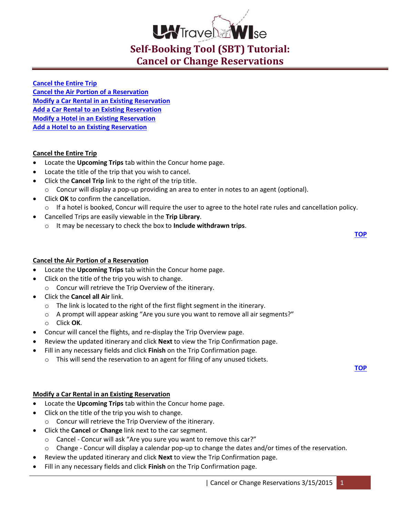

<span id="page-0-3"></span>**[Cancel the Entire Trip](#page-0-0) Cancel the Air [Portion of a Reservation](#page-0-1) [Modify a Car Rental in an Existing Reservation](#page-0-2) [Add a Car Rental to an Existing Reservation](#page-1-0) [Modify a Hotel in an Existing Reservation](#page-1-1) [Add a Hotel to an Existing Reservation](#page-1-2)**

## <span id="page-0-0"></span>**Cancel the Entire Trip**

- Locate the **Upcoming Trips** tab within the Concur home page.
- Locate the title of the trip that you wish to cancel.
- Click the **Cancel Trip** link to the right of the trip title.
	- o Concur will display a pop-up providing an area to enter in notes to an agent (optional).
- Click **OK** to confirm the cancellation.
	- o If a hotel is booked, Concur will require the user to agree to the hotel rate rules and cancellation policy.
- Cancelled Trips are easily viewable in the **Trip Library**.
	- o It may be necessary to check the box to **Include withdrawn trips**.

**[TOP](#page-0-3)**

# <span id="page-0-1"></span>**Cancel the Air Portion of a Reservation**

- Locate the **Upcoming Trips** tab within the Concur home page.
- Click on the title of the trip you wish to change. o Concur will retrieve the Trip Overview of the itinerary.
- Click the **Cancel all Air** link.
	- o The link is located to the right of the first flight segment in the itinerary.
	- o A prompt will appear asking "Are you sure you want to remove all air segments?"
	- o Click **OK**.
- Concur will cancel the flights, and re-display the Trip Overview page.
- Review the updated itinerary and click **Next** to view the Trip Confirmation page.
- Fill in any necessary fields and click **Finish** on the Trip Confirmation page.
	- $\circ$  This will send the reservation to an agent for filing of any unused tickets.

**[TOP](#page-0-3)**

## <span id="page-0-2"></span>**Modify a Car Rental in an Existing Reservation**

- Locate the **Upcoming Trips** tab within the Concur home page.
- Click on the title of the trip you wish to change.
	- o Concur will retrieve the Trip Overview of the itinerary.
- Click the **Cancel** or **Change** link next to the car segment.
	- o Cancel Concur will ask "Are you sure you want to remove this car?"
	- o Change Concur will display a calendar pop-up to change the dates and/or times of the reservation.
- Review the updated itinerary and click **Next** to view the Trip Confirmation page.
- Fill in any necessary fields and click **Finish** on the Trip Confirmation page.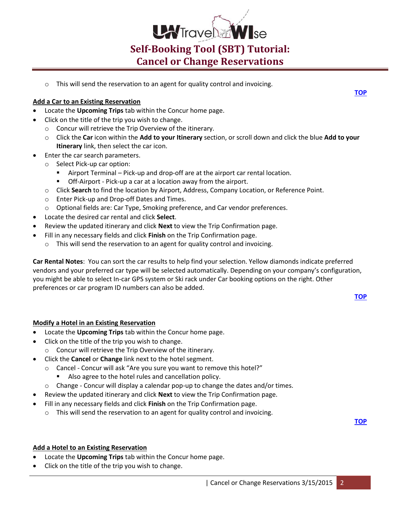

This will send the reservation to an agent for quality control and invoicing.

### <span id="page-1-0"></span>**Add a Car to an Existing Reservation**

- Locate the **Upcoming Trips** tab within the Concur home page.
- Click on the title of the trip you wish to change.
	- o Concur will retrieve the Trip Overview of the itinerary.
	- o Click the **Car** icon within the **Add to your Itinerary** section, or scroll down and click the blue **Add to your Itinerary** link, then select the car icon.
- Enter the car search parameters.
	- o Select Pick-up car option:
		- Airport Terminal Pick-up and drop-off are at the airport car rental location.
		- Off-Airport Pick-up a car at a location away from the airport.
	- o Click **Search** to find the location by Airport, Address, Company Location, or Reference Point.
	- o Enter Pick-up and Drop-off Dates and Times.
	- o Optional fields are: Car Type, Smoking preference, and Car vendor preferences.
- Locate the desired car rental and click **Select**.
- Review the updated itinerary and click **Next** to view the Trip Confirmation page.
- Fill in any necessary fields and click **Finish** on the Trip Confirmation page.
	- o This will send the reservation to an agent for quality control and invoicing.

**Car Rental Notes**: You can sort the car results to help find your selection. Yellow diamonds indicate preferred vendors and your preferred car type will be selected automatically. Depending on your company's configuration, you might be able to select In-car GPS system or Ski rack under Car booking options on the right. Other preferences or car program ID numbers can also be added.

**[TOP](#page-0-3)**

#### <span id="page-1-1"></span>**Modify a Hotel in an Existing Reservation**

- Locate the **Upcoming Trips** tab within the Concur home page.
- Click on the title of the trip you wish to change.
	- o Concur will retrieve the Trip Overview of the itinerary.
- Click the **Cancel** or **Change** link next to the hotel segment.
	- o Cancel Concur will ask "Are you sure you want to remove this hotel?"
		- Also agree to the hotel rules and cancellation policy.
	- $\circ$  Change Concur will display a calendar pop-up to change the dates and/or times.
- Review the updated itinerary and click **Next** to view the Trip Confirmation page.
- Fill in any necessary fields and click **Finish** on the Trip Confirmation page.
	- o This will send the reservation to an agent for quality control and invoicing.

**[TOP](#page-0-3)**

#### <span id="page-1-2"></span>**Add a Hotel to an Existing Reservation**

- Locate the **Upcoming Trips** tab within the Concur home page.
- Click on the title of the trip you wish to change.

**[TOP](#page-0-3)**